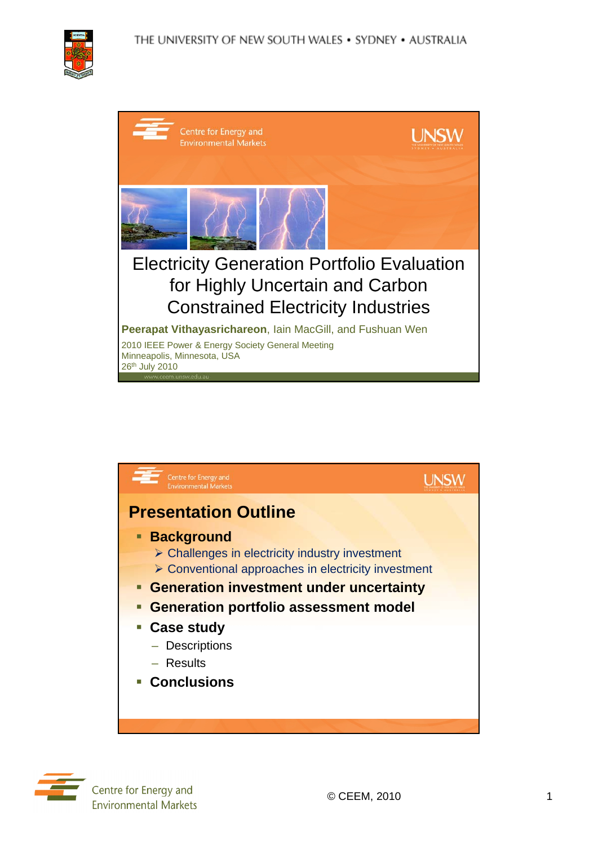

| Centre for Energy and<br><b>Environmental Markets</b>                                                                              |  |
|------------------------------------------------------------------------------------------------------------------------------------|--|
|                                                                                                                                    |  |
| <b>Electricity Generation Portfolio Evaluation</b><br>for Highly Uncertain and Carbon<br><b>Constrained Electricity Industries</b> |  |
| Peerapat Vithayasrichareon, lain MacGill, and Fushuan Wen                                                                          |  |
| 2010 IEEE Power & Energy Society General Meeting<br>Minneapolis, Minnesota, USA<br>26th July 2010                                  |  |



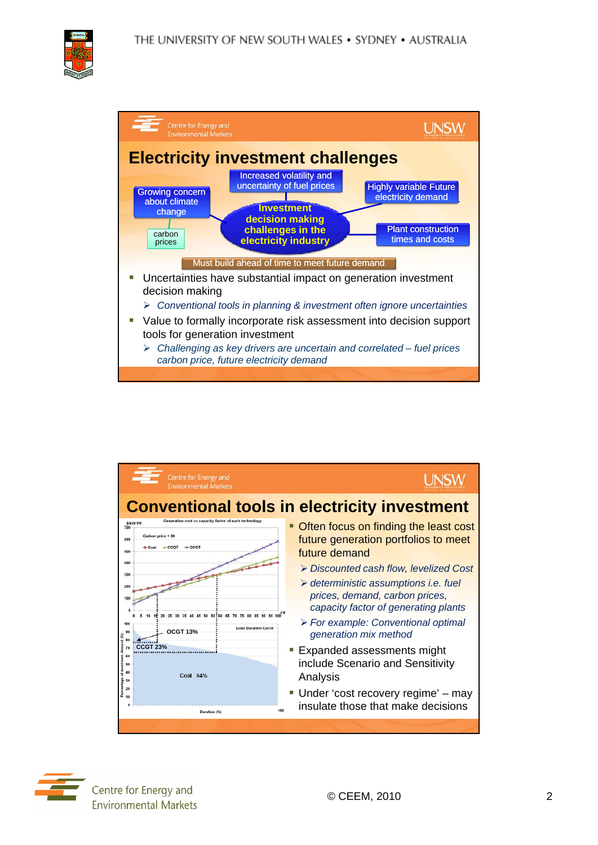



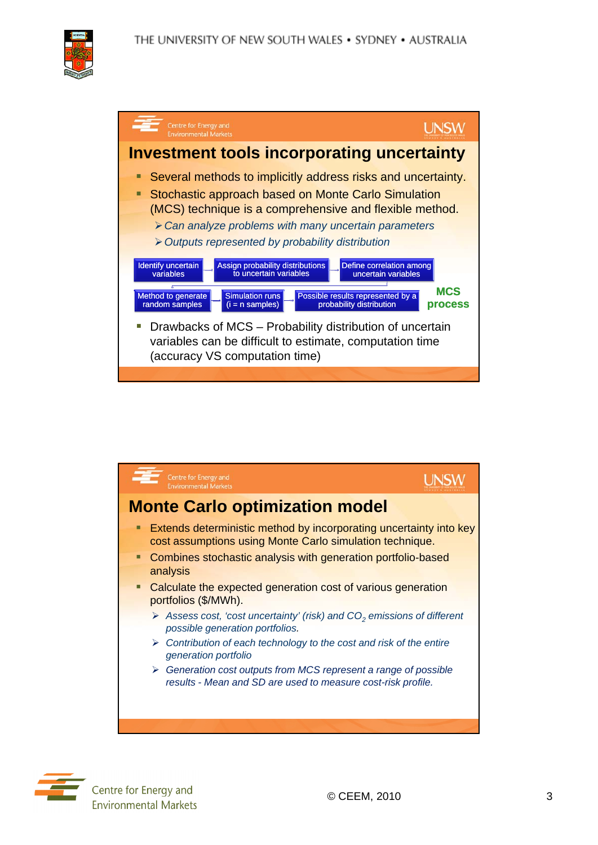







Centre for Energy and **Environmental Markets**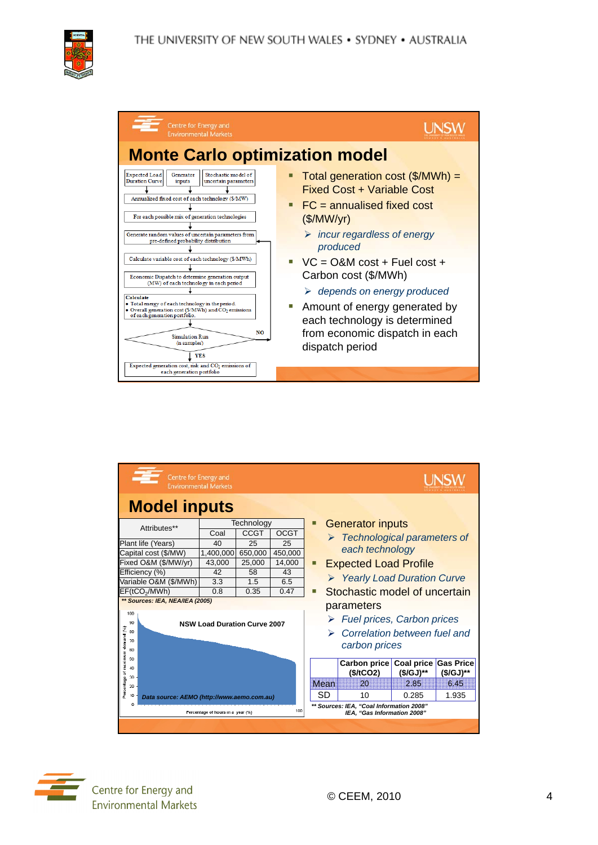

| Centre for Energy and<br><b>Environmental Markets</b>                                                                                                                                                                                                                     |                                                                                                                           |
|---------------------------------------------------------------------------------------------------------------------------------------------------------------------------------------------------------------------------------------------------------------------------|---------------------------------------------------------------------------------------------------------------------------|
| <b>Monte Carlo optimization model</b><br><b>Expected Load</b><br>Stochastic model of<br>Generator<br><b>Duration Curve</b><br>inputs<br>uncertain parameters<br>Annualized fixed cost of each technology (\$/MW)                                                          | Total generation cost $(\frac{2}{M}Wh)$ =<br><b>Fixed Cost + Variable Cost</b>                                            |
| For each possible mix of generation technologies<br>Generate random values of uncertain parameters from<br>pre-defined probability distribution                                                                                                                           | $\blacksquare$ FC = annualised fixed cost<br>(\$/MW/yr)<br>$\triangleright$ incur regardless of energy<br>produced        |
| Calculate variable cost of each technology (\$/MWh)<br>Economic Dispatch to determine generation output<br>(MW) of each technology in each period<br><b>Calculate</b>                                                                                                     | $VC = O&M cost + Fuel cost +$<br>Carbon cost (\$/MWh)<br>$\triangleright$ depends on energy produced                      |
| • Total energy of each technology in the period.<br>· Overall generation cost (\$/MWh) and CO2 emissions<br>of each generation portfolio.<br>NO.<br><b>Simulation Run</b><br>(n samples)<br><b>YES</b><br>Expected generation cost, risk and CO <sub>2</sub> emissions of | Amount of energy generated by<br>×.<br>each technology is determined<br>from economic dispatch in each<br>dispatch period |
| each generation portfolio                                                                                                                                                                                                                                                 |                                                                                                                           |

| Centre for Energy and<br><b>Environmental Markets</b>                                      |                                 |             |             |                                          |                                             |                                              |            |                  |  |  |
|--------------------------------------------------------------------------------------------|---------------------------------|-------------|-------------|------------------------------------------|---------------------------------------------|----------------------------------------------|------------|------------------|--|--|
| <b>Model inputs</b>                                                                        |                                 |             |             |                                          |                                             |                                              |            |                  |  |  |
| Technology<br>Attributes**                                                                 |                                 |             | ◻           | <b>Generator inputs</b>                  |                                             |                                              |            |                  |  |  |
|                                                                                            | Coal                            | <b>CCGT</b> | <b>OCGT</b> |                                          |                                             | $\triangleright$ Technological parameters of |            |                  |  |  |
| Plant life (Years)                                                                         | 40                              | 25          | 25          |                                          |                                             | each technology                              |            |                  |  |  |
| Capital cost (\$/MW)                                                                       | 1,400,000                       | 650,000     | 450,000     |                                          |                                             |                                              |            |                  |  |  |
| Fixed O&M (\$/MW/yr)                                                                       | 43,000                          | 25,000      | 14,000      |                                          | <b>Expected Load Profile</b><br>п           |                                              |            |                  |  |  |
| Efficiency (%)                                                                             | 42                              | 58          | 43          |                                          |                                             | ▶ Yearly Load Duration Curve                 |            |                  |  |  |
| Variable O&M (\$/MWh)                                                                      | 3.3                             | 1.5         | 6.5         |                                          |                                             |                                              |            |                  |  |  |
| EF(tCO <sub>2</sub> /MWh)<br>0.8<br>0.35<br>0.47                                           |                                 |             |             | Stochastic model of uncertain<br>п       |                                             |                                              |            |                  |  |  |
|                                                                                            | ** Sources: IEA, NEA/IEA (2005) |             |             |                                          |                                             | parameters                                   |            |                  |  |  |
| 100<br>90<br><b>NSW Load Duration Curve 2007</b><br>Percentage of maximum demand (%)<br>80 |                                 |             |             |                                          | $\triangleright$ Fuel prices, Carbon prices |                                              |            |                  |  |  |
|                                                                                            |                                 |             |             |                                          | Correlation between fuel and                |                                              |            |                  |  |  |
| 70                                                                                         |                                 |             |             |                                          |                                             | carbon prices                                |            |                  |  |  |
| 60                                                                                         |                                 |             |             |                                          |                                             |                                              |            |                  |  |  |
| 50                                                                                         |                                 |             |             |                                          |                                             | Carbon price                                 | Coal price | <b>Gas Price</b> |  |  |
| 40                                                                                         |                                 |             |             |                                          |                                             | (\$/tCO2)                                    | (\$/GJ)**  | (\$/GJ)**        |  |  |
| 30 <sub>2</sub><br>20                                                                      |                                 |             |             |                                          | Mean                                        | 20                                           | 2.85       | 6.45             |  |  |
| 10<br>Data source: AEMO (http://www.aemo.com.au)                                           |                                 |             |             | SD                                       | 10                                          | 0.285                                        | 1.935      |                  |  |  |
|                                                                                            |                                 |             |             | ** Sources: IEA. "Coal Information 2008" |                                             |                                              |            |                  |  |  |
| 100<br>Percentage of hours in a year (%)                                                   |                                 |             |             |                                          | IEA. "Gas Information 2008"                 |                                              |            |                  |  |  |
|                                                                                            |                                 |             |             |                                          |                                             |                                              |            |                  |  |  |

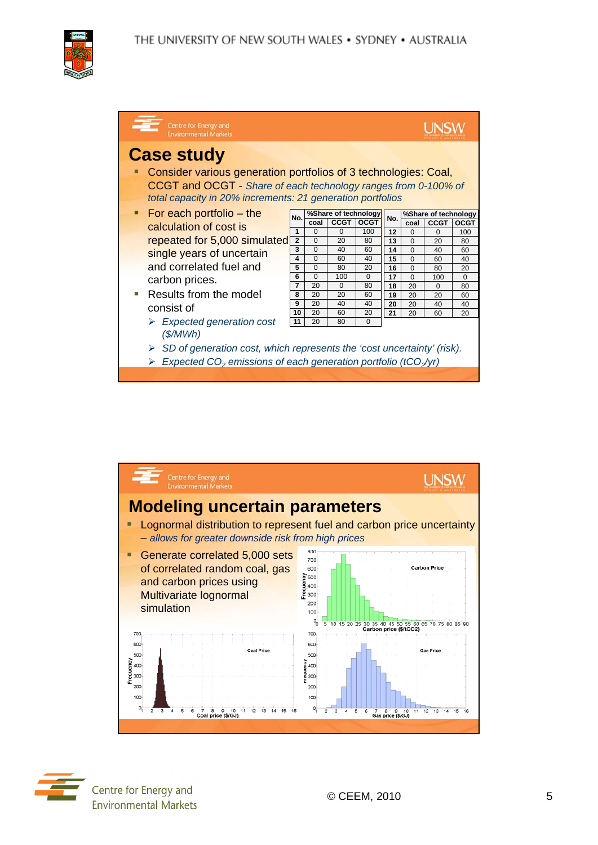

| Centre for Energy and<br><b>Environmental Markets</b>                                                                                                                                                                |     |                      |             |             |     |                      |             |             |  |  |
|----------------------------------------------------------------------------------------------------------------------------------------------------------------------------------------------------------------------|-----|----------------------|-------------|-------------|-----|----------------------|-------------|-------------|--|--|
| <b>Case study</b><br>Consider various generation portfolios of 3 technologies: Coal,<br>CCGT and OCGT - Share of each technology ranges from 0-100% of<br>total capacity in 20% increments: 21 generation portfolios |     |                      |             |             |     |                      |             |             |  |  |
| $\blacksquare$ For each portfolio – the                                                                                                                                                                              | No. | %Share of technology |             |             |     | %Share of technology |             |             |  |  |
| calculation of cost is                                                                                                                                                                                               |     | coal                 | <b>CCGT</b> | <b>OCGT</b> | No. | coal                 | <b>CCGT</b> | <b>OCGT</b> |  |  |
|                                                                                                                                                                                                                      | 1   | $\Omega$             | $\Omega$    | 100         | 12  | $\Omega$             | $\Omega$    | 100         |  |  |
| repeated for 5,000 simulated<br>single years of uncertain                                                                                                                                                            |     | $\Omega$             | 20          | 80          | 13  | $\Omega$             | 20          | 80          |  |  |
|                                                                                                                                                                                                                      |     | $\Omega$             | 40          | 60          | 14  | $\Omega$             | 40          | 60          |  |  |
|                                                                                                                                                                                                                      | 4   | $\Omega$             | 60          | 40          | 15  | $\Omega$             | 60          | 40          |  |  |
| and correlated fuel and                                                                                                                                                                                              | 5   | $\Omega$             | 80          | 20          | 16  | $\Omega$             | 80          | 20          |  |  |
| carbon prices.                                                                                                                                                                                                       | 6   | $\Omega$             | 100         | $\Omega$    | 17  | $\Omega$             | 100         | $\Omega$    |  |  |
|                                                                                                                                                                                                                      | 7   | 20                   | $\Omega$    | 80          | 18  | 20                   | $\Omega$    | 80          |  |  |
| Results from the model                                                                                                                                                                                               | 8   | 20                   | 20          | 60          | 19  | 20                   | 20          | 60          |  |  |
| consist of                                                                                                                                                                                                           | 9   | 20                   | 40          | 40          | 20  | 20                   | 40          | 40          |  |  |
|                                                                                                                                                                                                                      | 10  | 20                   | 60          | 20          | 21  | 20                   | 60          | 20          |  |  |
| $\triangleright$ Expected generation cost<br>(S/MWh)<br>SD of generation cost, which represents the 'cost uncertainty' (risk).<br>Expected $CO2$ emissions of each generation portfolio (tCO <sub>2</sub> /yr)       | 11  | 20                   | 80          | $\Omega$    |     |                      |             |             |  |  |
|                                                                                                                                                                                                                      |     |                      |             |             |     |                      |             |             |  |  |
|                                                                                                                                                                                                                      |     |                      |             |             |     |                      |             |             |  |  |



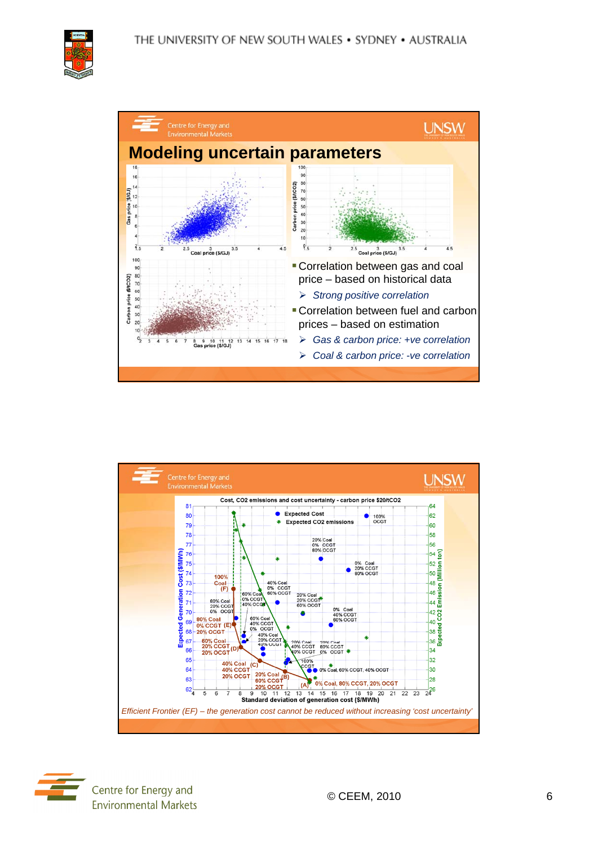





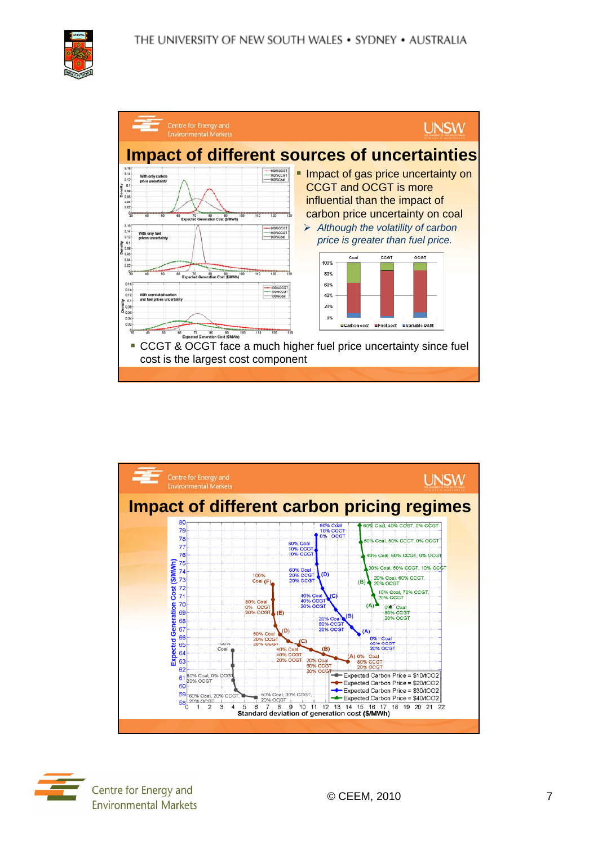





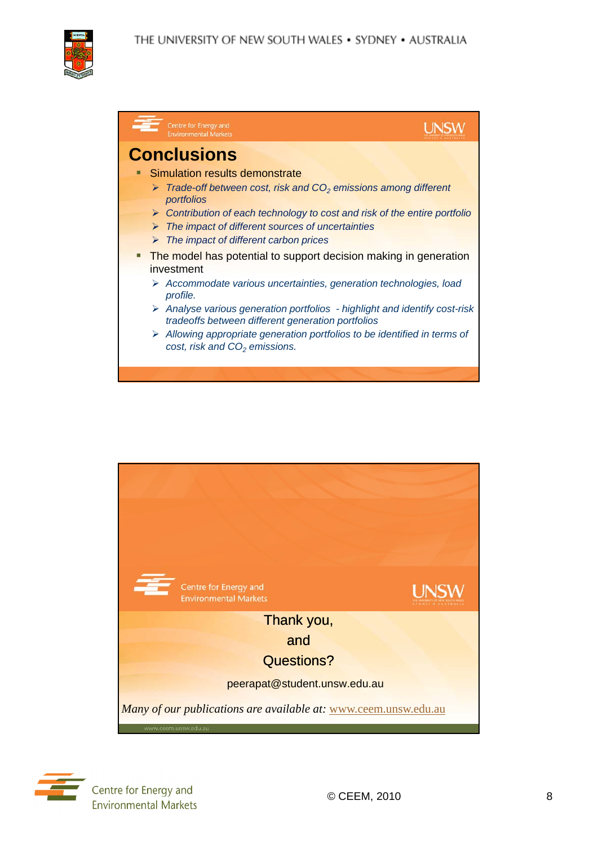





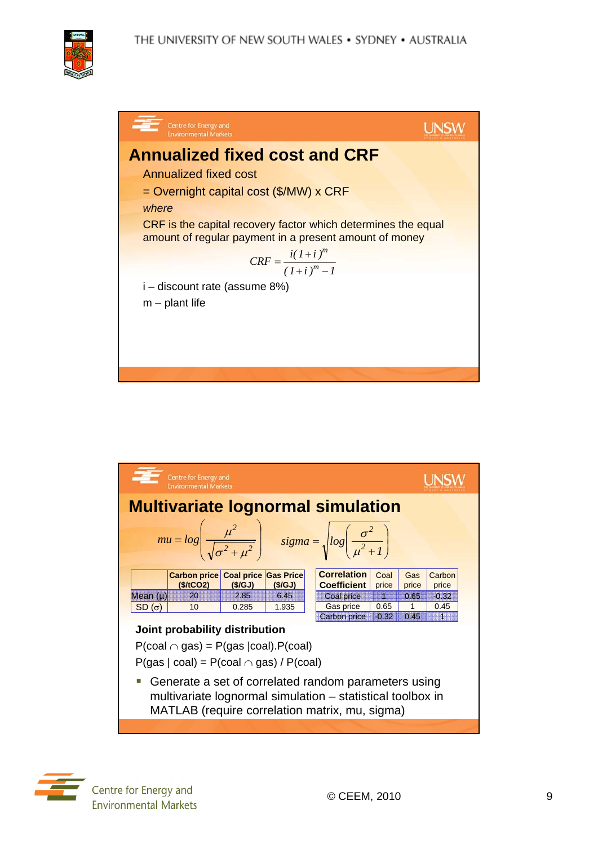





Centre for Energy and **Environmental Markets**